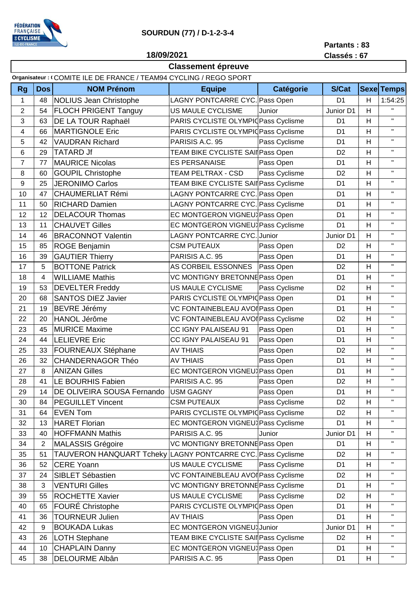

## **SOURDUN (77) / D-1-2-3-4**

## **Partants : 83 Classés : 67**

**18/09/2021**

## **Classement épreuve**

|                |                | Organisateur: (COMITE ILE DE FRANCE / TEAM94 CYCLING / REGO SPORT |                                       |               |                |    |                   |
|----------------|----------------|-------------------------------------------------------------------|---------------------------------------|---------------|----------------|----|-------------------|
| <b>Rg</b>      | <b>Dos</b>     | <b>NOM Prénom</b>                                                 | <b>Equipe</b>                         | Catégorie     | <b>S/Cat</b>   |    | <b>Sexe Temps</b> |
| $\mathbf{1}$   | 48             | <b>NOLIUS Jean Christophe</b>                                     | LAGNY PONTCARRE CYC. Pass Open        |               | D <sub>1</sub> | H  | 1:54:25           |
| $\overline{2}$ | 54             | <b>FLOCH PRIGENT Tanguy</b>                                       | US MAULE CYCLISME                     | Junior        | Junior D1      | H  | $\mathbf{H}$      |
| 3              | 63             | DE LA TOUR Raphaël                                                | PARIS CYCLISTE OLYMPIQPass Cyclisme   |               | D <sub>1</sub> | H  | $\mathbf{H}$      |
| 4              | 66             | <b>MARTIGNOLE Eric</b>                                            | PARIS CYCLISTE OLYMPIQPass Cyclisme   |               | D <sub>1</sub> | H  | $\mathbf{H}$      |
| 5              | 42             | <b>VAUDRAN Richard</b>                                            | PARISIS A.C. 95                       | Pass Cyclisme | D <sub>1</sub> | H  | $\mathbf{H}$      |
| 6              | 29             | <b>TATARD Jf</b>                                                  | TEAM BIKE CYCLISTE SAI Pass Open      |               | D <sub>2</sub> | H  | $\mathbf{H}$      |
| $\overline{7}$ | 77             | <b>MAURICE Nicolas</b>                                            | <b>ES PERSANAISE</b>                  | Pass Open     | D <sub>1</sub> | H  | $\mathbf{H}$      |
| 8              | 60             | <b>GOUPIL Christophe</b>                                          | TEAM PELTRAX - CSD                    | Pass Cyclisme | D <sub>2</sub> | H  | $\mathbf{H}$      |
| 9              | 25             | <b>JERONIMO Carlos</b>                                            | TEAM BIKE CYCLISTE SAIN Pass Cyclisme |               | D <sub>1</sub> | H  | $\mathbf{H}$      |
| 10             | 47             | <b>CHAUMERLIAT Rémi</b>                                           | LAGNY PONTCARRE CYC. Pass Open        |               | D <sub>1</sub> | H  | $\mathbf{H}$      |
| 11             | 50             | <b>RICHARD Damien</b>                                             | LAGNY PONTCARRE CYC. Pass Cyclisme    |               | D <sub>1</sub> | H  | $\mathbf{H}$      |
| 12             | 12             | <b>DELACOUR Thomas</b>                                            | EC MONTGERON VIGNEUX Pass Open        |               | D <sub>1</sub> | H  | $\mathbf{H}$      |
| 13             | 11             | <b>CHAUVET Gilles</b>                                             | EC MONTGERON VIGNEUX Pass Cyclisme    |               | D <sub>1</sub> | H  | $\mathbf{H}$      |
| 14             | 46             | <b>BRACONNOT Valentin</b>                                         | <b>LAGNY PONTCARRE CYC.</b>           | Junior        | Junior D1      | H  | $\mathbf H$       |
| 15             | 85             | ROGE Benjamin                                                     | <b>CSM PUTEAUX</b>                    | Pass Open     | D <sub>2</sub> | H  | $\mathbf{H}$      |
| 16             | 39             | <b>GAUTIER Thierry</b>                                            | PARISIS A.C. 95                       | Pass Open     | D <sub>1</sub> | H  | $\mathbf{H}$      |
| 17             | 5              | <b>BOTTONE Patrick</b>                                            | AS CORBEIL ESSONNES                   | Pass Open     | D <sub>2</sub> | H  | $\mathbf H$       |
| 18             | 4              | <b>WILLIAME Mathis</b>                                            | VC MONTIGNY BRETONNE Pass Open        |               | D <sub>1</sub> | Н  | $\mathbf{H}$      |
| 19             | 53             | <b>DEVELTER Freddy</b>                                            | US MAULE CYCLISME                     | Pass Cyclisme | D <sub>2</sub> | H  | $\mathbf H$       |
| 20             | 68             | <b>SANTOS DIEZ Javier</b>                                         | PARIS CYCLISTE OLYMPIOPass Open       |               | D <sub>1</sub> | H  | $\mathbf{H}$      |
| 21             | 19             | <b>BEVRE Jérémy</b>                                               | VC FONTAINEBLEAU AVOI Pass Open       |               | D <sub>1</sub> | H  | $\mathbf H$       |
| 22             | 20             | HANOL Jérôme                                                      | VC FONTAINEBLEAU AVOI Pass Cyclisme   |               | D <sub>2</sub> | H  | $\mathbf H$       |
| 23             | 45             | <b>MURICE Maxime</b>                                              | CC IGNY PALAISEAU 91                  | Pass Open     | D <sub>1</sub> | H  | $\mathbf{H}$      |
| 24             | 44             | <b>LELIEVRE Eric</b>                                              | CC IGNY PALAISEAU 91                  | Pass Open     | D <sub>1</sub> | H  | $\mathbf{H}$      |
| 25             | 33             | <b>FOURNEAUX Stéphane</b>                                         | <b>AV THIAIS</b>                      | Pass Open     | D <sub>2</sub> | H  | $\mathbf H$       |
| 26             | 32             | <b>CHANDERNAGOR Théo</b>                                          | <b>AV THIAIS</b>                      | Pass Open     | D <sub>1</sub> | H  | $\mathbf{H}$      |
| 27             | 8              | <b>ANIZAN Gilles</b>                                              | EC MONTGERON VIGNEUX Pass Open        |               | D <sub>1</sub> | H  | $\mathbf{H}$      |
| 28             | 41             | LE BOURHIS Fabien                                                 | PARISIS A.C. 95                       | Pass Open     | D <sub>2</sub> | H  | $\mathbf{H}$      |
| 29             | 14             | DE OLIVEIRA SOUSA Fernando                                        | <b>USM GAGNY</b>                      | Pass Open     | D <sub>1</sub> | Η  |                   |
| 30             | 84             | <b>PEGUILLET Vincent</b>                                          | <b>CSM PUTEAUX</b>                    | Pass Cyclisme | D <sub>2</sub> | H  | $\mathbf H$       |
| 31             | 64             | <b>EVEN Tom</b>                                                   | PARIS CYCLISTE OLYMPIQPass Cyclisme   |               | D <sub>2</sub> | H  | $\mathsf{H}$      |
| 32             | 13             | <b>HARET Florian</b>                                              | EC MONTGERON VIGNEUX Pass Cyclisme    |               | D <sub>1</sub> | H  | $\mathbf{H}$      |
| 33             | 40             | <b>HOFFMANN Mathis</b>                                            | PARISIS A.C. 95                       | Junior        | Junior D1      | H. | $\mathsf{H}$      |
| 34             | $\overline{2}$ | <b>MALASSIS Grégoire</b>                                          | VC MONTIGNY BRETONNE Pass Open        |               | D <sub>1</sub> | H  | $\mathbf{H}$      |
| 35             | 51             | TAUVERON HANQUART Tcheky                                          | LAGNY PONTCARRE CYC. Pass Cyclisme    |               | D <sub>2</sub> | Н  | $\mathsf{H}$      |
| 36             | 52             | <b>CERE Yoann</b>                                                 | US MAULE CYCLISME                     | Pass Cyclisme | D <sub>1</sub> | H  | $\mathbf{H}$      |
| 37             | 24             | SIBLET Sébastien                                                  | VC FONTAINEBLEAU AVOI Pass Cyclisme   |               | D <sub>2</sub> | Н  | $\mathbf{H}$      |
| 38             | $\mathfrak{B}$ | <b>VENTURI Gilles</b>                                             | VC MONTIGNY BRETONNE Pass Cyclisme    |               | D <sub>1</sub> | H  | $\mathbf{H}$      |
| 39             | 55             | <b>ROCHETTE Xavier</b>                                            | US MAULE CYCLISME                     | Pass Cyclisme | D <sub>2</sub> | Н  | п                 |
| 40             | 65             | FOURÉ Christophe                                                  | PARIS CYCLISTE OLYMPIOPass Open       |               | D <sub>1</sub> | H  | $\mathbf{H}$      |
| 41             | 36             | <b>TOURNEUR Julien</b>                                            | <b>AV THIAIS</b>                      | Pass Open     | D <sub>1</sub> | H  | $\mathsf{H}$      |
| 42             | 9              | <b>BOUKADA Lukas</b>                                              | EC MONTGERON VIGNEU Junior            |               | Junior D1      | H  | $\mathbf H$       |
| 43             | 26             | <b>LOTH Stephane</b>                                              | TEAM BIKE CYCLISTE SAII Pass Cyclisme |               | D <sub>2</sub> | H  | $\mathsf{H}$      |
| 44             | 10             | <b>CHAPLAIN Danny</b>                                             | EC MONTGERON VIGNEU Pass Open         |               | D <sub>1</sub> | H  | $\mathbf H$       |
| 45             | 38             | <b>DELOURME Albân</b>                                             | PARISIS A.C. 95                       | Pass Open     | D <sub>1</sub> | H  | П.                |